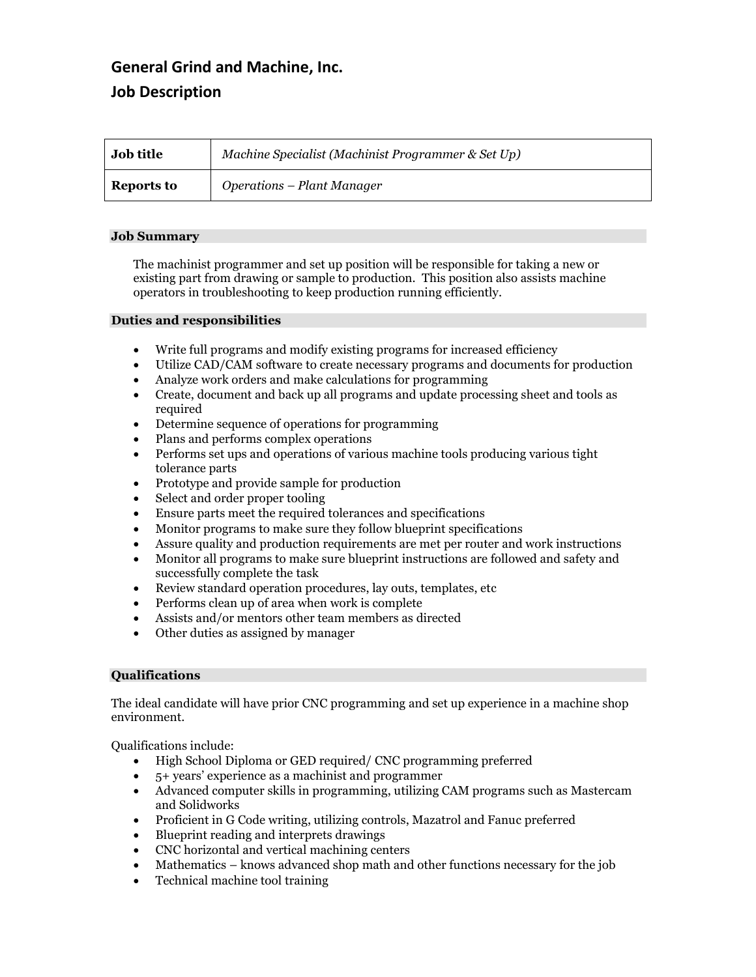# **General Grind and Machine, Inc. Job Description**

| <b>Job title</b> | Machine Specialist (Machinist Programmer & Set Up) |
|------------------|----------------------------------------------------|
| Reports to       | Operations – Plant Manager                         |

## **Job Summary**

The machinist programmer and set up position will be responsible for taking a new or existing part from drawing or sample to production. This position also assists machine operators in troubleshooting to keep production running efficiently.

#### **Duties and responsibilities**

- Write full programs and modify existing programs for increased efficiency
- Utilize CAD/CAM software to create necessary programs and documents for production
- Analyze work orders and make calculations for programming
- Create, document and back up all programs and update processing sheet and tools as required
- Determine sequence of operations for programming
- Plans and performs complex operations
- Performs set ups and operations of various machine tools producing various tight tolerance parts
- Prototype and provide sample for production
- Select and order proper tooling
- Ensure parts meet the required tolerances and specifications
- Monitor programs to make sure they follow blueprint specifications
- Assure quality and production requirements are met per router and work instructions
- Monitor all programs to make sure blueprint instructions are followed and safety and successfully complete the task
- Review standard operation procedures, lay outs, templates, etc
- Performs clean up of area when work is complete
- Assists and/or mentors other team members as directed
- Other duties as assigned by manager

#### **Qualifications**

The ideal candidate will have prior CNC programming and set up experience in a machine shop environment.

Qualifications include:

- High School Diploma or GED required/ CNC programming preferred
- 5+ years' experience as a machinist and programmer
- Advanced computer skills in programming, utilizing CAM programs such as Mastercam and Solidworks
- Proficient in G Code writing, utilizing controls, Mazatrol and Fanuc preferred
- Blueprint reading and interprets drawings
- CNC horizontal and vertical machining centers
- Mathematics knows advanced shop math and other functions necessary for the job
- Technical machine tool training